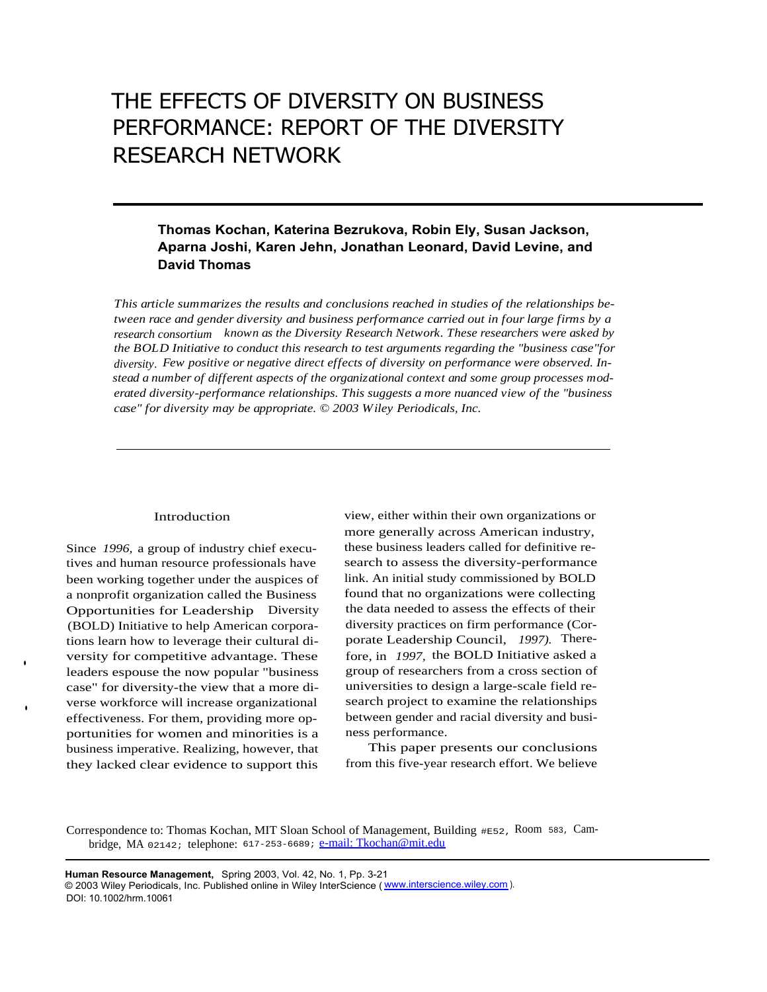# THE EFFECTS OF DIVERSITY ON BUSINESS PERFORMANCE: REPORT OF THE DIVERSITY RESEARCH NETWORK

# **Thomas Kochan, Katerina Bezrukova, Robin Ely, Susan Jackson, Aparna Joshi, Karen Jehn, Jonathan Leonard, David Levine, and David Thomas**

*This article summarizes the results and conclusions reached in studies of the relationships between race and gender diversity and business performance carried out in four large firms by a research consortium known as the Diversity Research Network. These researchers were asked by the BOLD Initiative to conduct this research to test arguments regarding the "business case"for diversity. Few positive or negative direct effects of diversity on performance were observed. Instead a number of different aspects of the organizational context and some group processes moderated diversity-performance relationships. This suggests a more nuanced view of the "business case" for diversity may be appropriate. © 2003 Wiley Periodicals, Inc.*

## Introduction

Since *1996,* a group of industry chief executives and human resource professionals have been working together under the auspices of a nonprofit organization called the Business Opportunities for Leadership Diversity (BOLD) Initiative to help American corporations learn how to leverage their cultural di versity for competitive advantage. These leaders espouse the now popular "business case" for diversity-the view that a more di verse workforce will increase organizational effectiveness. For them, providing more opportunities for women and minorities is a business imperative. Realizing, however, that they lacked clear evidence to support this

•

•

view, either within their own organizations or more generally across American industry, these business leaders called for definitive research to assess the diversity-performance link. An initial study commissioned by BOLD found that no organizations were collecting the data needed to assess the effects of their diversity practices on firm performance (Corporate Leadership Council, *1997).* Therefore, in *1997,* the BOLD Initiative asked a group of researchers from a cross section of universities to design a large-scale field research project to examine the relationships between gender and racial diversity and business performance.

This paper presents our conclusions from this five-year research effort. We believe

Correspondence to: Thomas Kochan, MIT Sloan School of Management, Building #E52, Room 583, Cambridge, MA 02142; telephone: 617-253-6689; [e-mail: Tkochan@mit.edu](mailto:Tkochan@mit.edu)

**Human Resource Management,** Spring 2003, Vol. 42, No. 1, Pp. 3-21 © 2003 Wiley Periodicals, Inc. Published online in Wiley InterScience ( [www.interscience.wiley.com](http://www.interscience.wiley.com) ). DOI: 10.1002/hrm.10061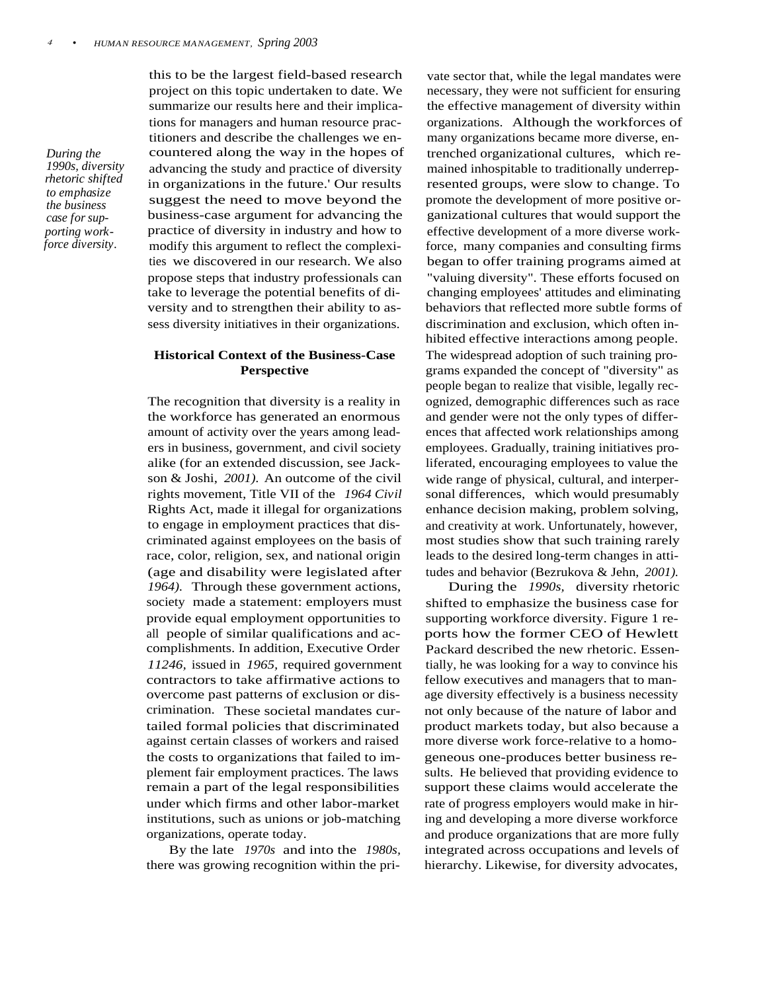*During the 1990s, diversity rhetoric shifted to emphasize the business case for supporting workforce diversity.*

this to be the largest field-based research project on this topic undertaken to date. We summarize our results here and their implications for managers and human resource practitioners and describe the challenges we encountered along the way in the hopes of advancing the study and practice of diversity in organizations in the future.' Our results suggest the need to move beyond the business-case argument for advancing the practice of diversity in industry and how to modify this argument to reflect the complexities we discovered in our research. We also propose steps that industry professionals can take to leverage the potential benefits of diversity and to strengthen their ability to assess diversity initiatives in their organizations.

# **Historical Context of the Business-Case Perspective**

The recognition that diversity is a reality in the workforce has generated an enormous amount of activity over the years among leaders in business, government, and civil society alike (for an extended discussion, see Jackson & Joshi, *2001).* An outcome of the civil rights movement, Title VII of the *1964 Civil* Rights Act, made it illegal for organizations to engage in employment practices that discriminated against employees on the basis of race, color, religion, sex, and national origin (age and disability were legislated after *1964).* Through these government actions, society made a statement: employers must provide equal employment opportunities to all people of similar qualifications and accomplishments. In addition, Executive Order *11246,* issued in *1965,* required government contractors to take affirmative actions to overcome past patterns of exclusion or discrimination. These societal mandates curtailed formal policies that discriminated against certain classes of workers and raised the costs to organizations that failed to implement fair employment practices. The laws remain a part of the legal responsibilities under which firms and other labor-market institutions, such as unions or job-matching organizations, operate today.

By the late *1970s* and into the *1980s,* there was growing recognition within the pri-

vate sector that, while the legal mandates were necessary, they were not sufficient for ensuring the effective management of diversity within organizations. Although the workforces of many organizations became more diverse, entrenched organizational cultures, which remained inhospitable to traditionally underrepresented groups, were slow to change. To promote the development of more positive organizational cultures that would support the effective development of a more diverse workforce, many companies and consulting firms began to offer training programs aimed at "valuing diversity". These efforts focused on changing employees' attitudes and eliminating behaviors that reflected more subtle forms of discrimination and exclusion, which often inhibited effective interactions among people. The widespread adoption of such training programs expanded the concept of "diversity" as people began to realize that visible, legally recognized, demographic differences such as race and gender were not the only types of differences that affected work relationships among employees. Gradually, training initiatives proliferated, encouraging employees to value the wide range of physical, cultural, and interpersonal differences, which would presumably enhance decision making, problem solving, and creativity at work. Unfortunately, however, most studies show that such training rarely leads to the desired long-term changes in attitudes and behavior (Bezrukova & Jehn, *2001).*

During the *1990s,* diversity rhetoric shifted to emphasize the business case for supporting workforce diversity. Figure 1 reports how the former CEO of Hewlett Packard described the new rhetoric. Essentially, he was looking for a way to convince his fellow executives and managers that to manage diversity effectively is a business necessity not only because of the nature of labor and product markets today, but also because a more diverse work force-relative to a homogeneous one-produces better business results. He believed that providing evidence to support these claims would accelerate the rate of progress employers would make in hiring and developing a more diverse workforce and produce organizations that are more fully integrated across occupations and levels of hierarchy. Likewise, for diversity advocates,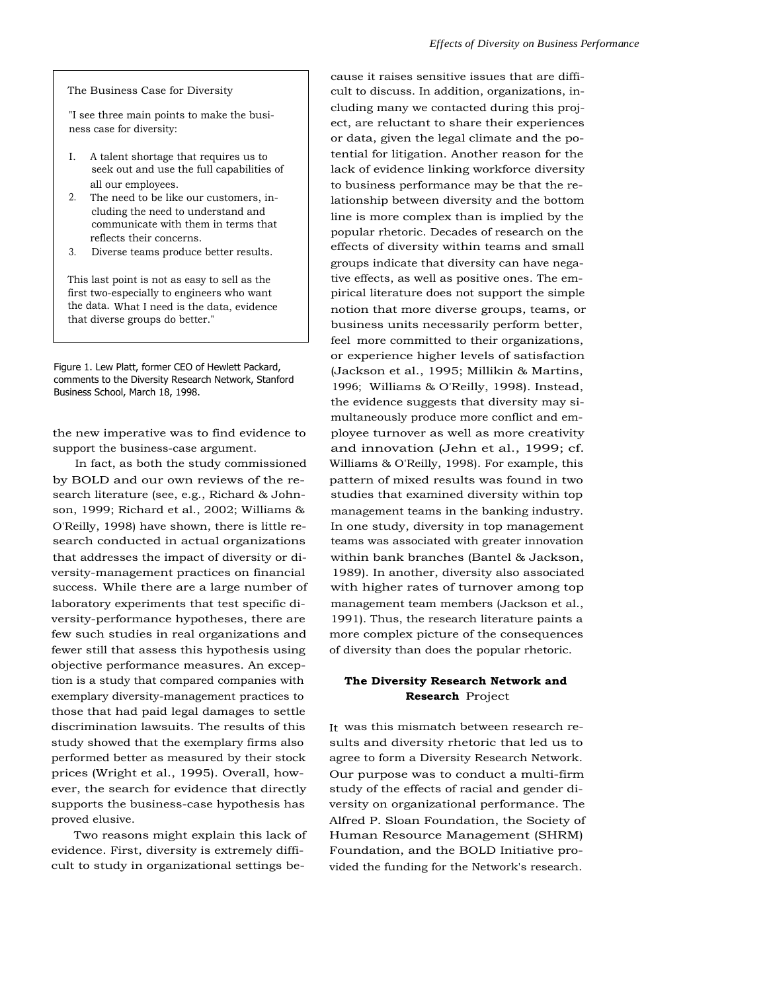The Business Case for Diversity

"I see three main points to make the business case for diversity:

- I. A talent shortage that requires us to seek out and use the full capabilities of all our employees.
- 2. The need to be like our customers, including the need to understand and communicate with them in terms that reflects their concerns.
- 3. Diverse teams produce better results.

This last point is not as easy to sell as the first two-especially to engineers who want the data. What I need is the data, evidence that diverse groups do better."

Figure 1. Lew Platt, former CEO of Hewlett Packard, comments to the Diversity Research Network, Stanford Business School, March 18, 1998.

the new imperative was to find evidence to support the business-case argument.

In fact, as both the study commissioned by BOLD and our own reviews of the research literature (see, e.g., Richard & Johnson, 1999; Richard et al., 2002; Williams & O'Reilly, 1998) have shown, there is little research conducted in actual organizations that addresses the impact of diversity or diversity-management practices on financial success. While there are a large number of laboratory experiments that test specific diversity-performance hypotheses, there are few such studies in real organizations and fewer still that assess this hypothesis using objective performance measures. An exception is a study that compared companies with exemplary diversity-management practices to those that had paid legal damages to settle discrimination lawsuits. The results of this study showed that the exemplary firms also performed better as measured by their stock prices (Wright et al., 1995). Overall, however, the search for evidence that directly supports the business-case hypothesis has proved elusive.

Two reasons might explain this lack of evidence. First, diversity is extremely difficult to study in organizational settings because it raises sensitive issues that are difficult to discuss. In addition, organizations, including many we contacted during this project, are reluctant to share their experiences or data, given the legal climate and the potential for litigation. Another reason for the lack of evidence linking workforce diversity to business performance may be that the relationship between diversity and the bottom line is more complex than is implied by the popular rhetoric. Decades of research on the effects of diversity within teams and small groups indicate that diversity can have negative effects, as well as positive ones. The empirical literature does not support the simple notion that more diverse groups, teams, or business units necessarily perform better, feel more committed to their organizations, or experience higher levels of satisfaction (Jackson et al., 1995; Millikin & Martins, 1996; Williams & O'Reilly, 1998). Instead, the evidence suggests that diversity may simultaneously produce more conflict and employee turnover as well as more creativity and innovation (Jehn et al., 1999; cf. Williams & O'Reilly, 1998). For example, this pattern of mixed results was found in two studies that examined diversity within top management teams in the banking industry. In one study, diversity in top management teams was associated with greater innovation within bank branches (Bantel & Jackson, 1989). In another, diversity also associated with higher rates of turnover among top management team members (Jackson et al., 1991). Thus, the research literature paints a more complex picture of the consequences of diversity than does the popular rhetoric.

# **The Diversity Research Network and Research** Project

It was this mismatch between research results and diversity rhetoric that led us to agree to form a Diversity Research Network. Our purpose was to conduct a multi-firm study of the effects of racial and gender diversity on organizational performance. The Alfred P. Sloan Foundation, the Society of Human Resource Management (SHRM) Foundation, and the BOLD Initiative provided the funding for the Network's research.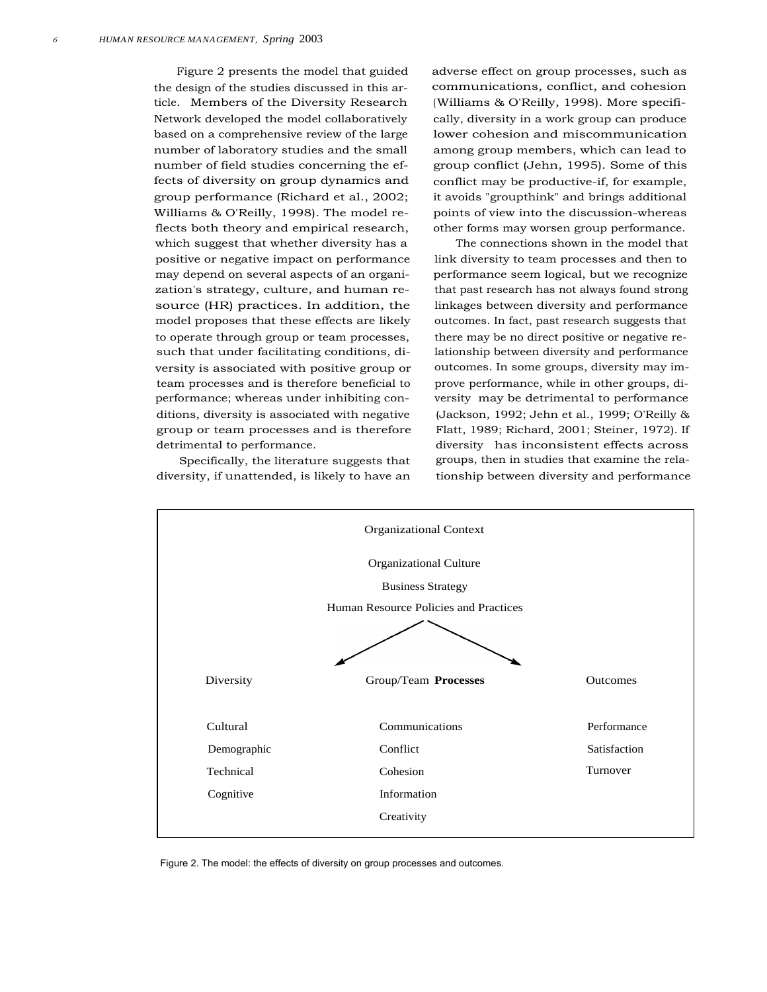Figure 2 presents the model that guided the design of the studies discussed in this article. Members of the Diversity Research Network developed the model collaboratively based on a comprehensive review of the large number of laboratory studies and the small number of field studies concerning the effects of diversity on group dynamics and group performance (Richard et al., 2002; Williams & O'Reilly, 1998). The model reflects both theory and empirical research, which suggest that whether diversity has a positive or negative impact on performance may depend on several aspects of an organization's strategy, culture, and human resource (HR) practices. In addition, the model proposes that these effects are likely to operate through group or team processes, such that under facilitating conditions, diversity is associated with positive group or team processes and is therefore beneficial to performance; whereas under inhibiting conditions, diversity is associated with negative group or team processes and is therefore detrimental to performance.

Specifically, the literature suggests that diversity, if unattended, is likely to have an adverse effect on group processes, such as communications, conflict, and cohesion (Williams & O'Reilly, 1998). More specifically, diversity in a work group can produce lower cohesion and miscommunication among group members, which can lead to group conflict (Jehn, 1995). Some of this conflict may be productive-if, for example, it avoids "groupthink" and brings additional points of view into the discussion-whereas other forms may worsen group performance.

The connections shown in the model that link diversity to team processes and then to performance seem logical, but we recognize that past research has not always found strong linkages between diversity and performance outcomes. In fact, past research suggests that there may be no direct positive or negative relationship between diversity and performance outcomes. In some groups, diversity may improve performance, while in other groups, diversity may be detrimental to performance (Jackson, 1992; Jehn et al., 1999; O'Reilly & Flatt, 1989; Richard, 2001; Steiner, 1972). If diversity has inconsistent effects across groups, then in studies that examine the relationship between diversity and performance



Figure 2. The model: the effects of diversity on group processes and outcomes.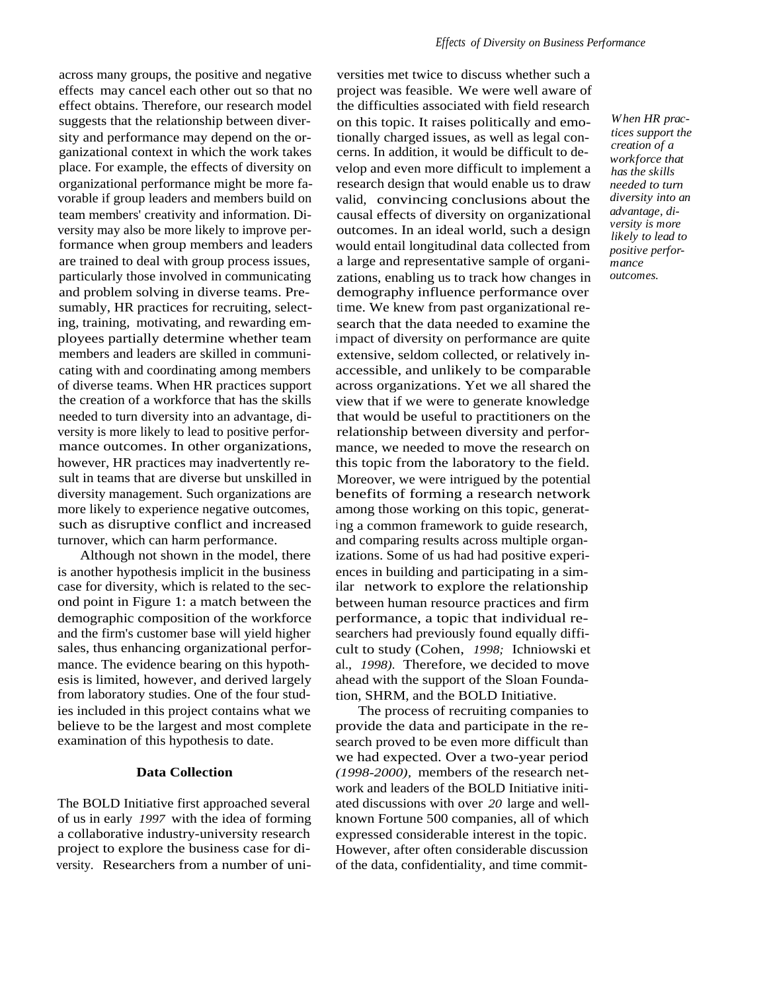across many groups, the positive and negative effects may cancel each other out so that no effect obtains. Therefore, our research model suggests that the relationship between diversity and performance may depend on the organizational context in which the work takes place. For example, the effects of diversity on organizational performance might be more favorable if group leaders and members build on team members' creativity and information. Diversity may also be more likely to improve performance when group members and leaders are trained to deal with group process issues, particularly those involved in communicating and problem solving in diverse teams. Presumably, HR practices for recruiting, selecting, training, motivating, and rewarding employees partially determine whether team members and leaders are skilled in communicating with and coordinating among members of diverse teams. When HR practices support the creation of a workforce that has the skills needed to turn diversity into an advantage, diversity is more likely to lead to positive performance outcomes. In other organizations, however, HR practices may inadvertently result in teams that are diverse but unskilled in diversity management. Such organizations are more likely to experience negative outcomes, such as disruptive conflict and increased turnover, which can harm performance.

Although not shown in the model, there is another hypothesis implicit in the business case for diversity, which is related to the second point in Figure 1: a match between the demographic composition of the workforce and the firm's customer base will yield higher sales, thus enhancing organizational performance. The evidence bearing on this hypothesis is limited, however, and derived largely from laboratory studies. One of the four studies included in this project contains what we believe to be the largest and most complete examination of this hypothesis to date.

# **Data Collection**

The BOLD Initiative first approached several of us in early *1997* with the idea of forming a collaborative industry-university research project to explore the business case for diversity. Researchers from a number of uni-

versities met twice to discuss whether such a project was feasible. We were well aware of the difficulties associated with field research on this topic. It raises politically and emotionally charged issues, as well as legal concerns. In addition, it would be difficult to develop and even more difficult to implement a research design that would enable us to draw valid, convincing conclusions about the causal effects of diversity on organizational outcomes. In an ideal world, such a design would entail longitudinal data collected from a large and representative sample of organizations, enabling us to track how changes in demography influence performance over time. We knew from past organizational research that the data needed to examine the impact of diversity on performance are quite extensive, seldom collected, or relatively inaccessible, and unlikely to be comparable across organizations. Yet we all shared the view that if we were to generate knowledge that would be useful to practitioners on the relationship between diversity and performance, we needed to move the research on this topic from the laboratory to the field. Moreover, we were intrigued by the potential benefits of forming a research network among those working on this topic, generating a common framework to guide research, and comparing results across multiple organizations. Some of us had had positive experiences in building and participating in a similar network to explore the relationship between human resource practices and firm performance, a topic that individual researchers had previously found equally difficult to study (Cohen, *1998;* Ichniowski et al., *1998).* Therefore, we decided to move ahead with the support of the Sloan Foundation, SHRM, and the BOLD Initiative.

The process of recruiting companies to provide the data and participate in the research proved to be even more difficult than we had expected. Over a two-year period *(1998-2000),* members of the research network and leaders of the BOLD Initiative initiated discussions with over *20* large and wellknown Fortune 500 companies, all of which expressed considerable interest in the topic. However, after often considerable discussion of the data, confidentiality, and time commit-

*When HR practices support the creation of a workforce that has the skills needed to turn diversity into an advantage, diversity is more likely to lead to positive performance outcomes.*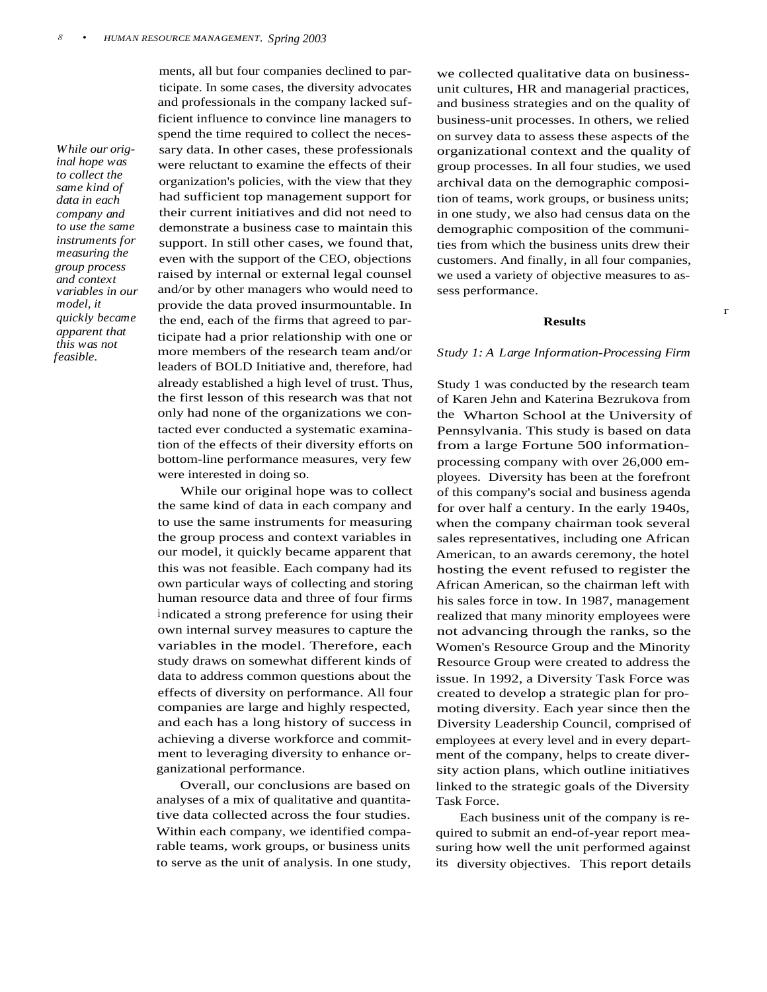*While our original hope was to collect the same kind of data in each company and to use the same instruments for measuring the group process and context variables in our model, it quickly became apparent that this was not feasible.*

ments, all but four companies declined to participate. In some cases, the diversity advocates and professionals in the company lacked sufficient influence to convince line managers to spend the time required to collect the necessary data. In other cases, these professionals were reluctant to examine the effects of their organization's policies, with the view that they had sufficient top management support for their current initiatives and did not need to demonstrate a business case to maintain this support. In still other cases, we found that, even with the support of the CEO, objections raised by internal or external legal counsel and/or by other managers who would need to provide the data proved insurmountable. In the end, each of the firms that agreed to participate had a prior relationship with one or more members of the research team and/or leaders of BOLD Initiative and, therefore, had already established a high level of trust. Thus, the first lesson of this research was that not only had none of the organizations we contacted ever conducted a systematic examination of the effects of their diversity efforts on bottom-line performance measures, very few were interested in doing so.

While our original hope was to collect the same kind of data in each company and to use the same instruments for measuring the group process and context variables in our model, it quickly became apparent that this was not feasible. Each company had its own particular ways of collecting and storing human resource data and three of four firms indicated a strong preference for using their own internal survey measures to capture the variables in the model. Therefore, each study draws on somewhat different kinds of data to address common questions about the effects of diversity on performance. All four companies are large and highly respected, and each has a long history of success in achieving a diverse workforce and commitment to leveraging diversity to enhance organizational performance.

Overall, our conclusions are based on analyses of a mix of qualitative and quantitative data collected across the four studies. Within each company, we identified comparable teams, work groups, or business units to serve as the unit of analysis. In one study,

we collected qualitative data on businessunit cultures, HR and managerial practices, and business strategies and on the quality of business-unit processes. In others, we relied on survey data to assess these aspects of the organizational context and the quality of group processes. In all four studies, we used archival data on the demographic composition of teams, work groups, or business units; in one study, we also had census data on the demographic composition of the communities from which the business units drew their customers. And finally, in all four companies, we used a variety of objective measures to assess performance.

## **Results**

r

## *Study 1: A Large Information-Processing Firm*

Study 1 was conducted by the research team of Karen Jehn and Katerina Bezrukova from the Wharton School at the University of Pennsylvania. This study is based on data from a large Fortune 500 informationprocessing company with over 26,000 employees. Diversity has been at the forefront of this company's social and business agenda for over half a century. In the early 1940s, when the company chairman took several sales representatives, including one African American, to an awards ceremony, the hotel hosting the event refused to register the African American, so the chairman left with his sales force in tow. In 1987, management realized that many minority employees were not advancing through the ranks, so the Women's Resource Group and the Minority Resource Group were created to address the issue. In 1992, a Diversity Task Force was created to develop a strategic plan for promoting diversity. Each year since then the Diversity Leadership Council, comprised of employees at every level and in every department of the company, helps to create diversity action plans, which outline initiatives linked to the strategic goals of the Diversity Task Force.

Each business unit of the company is required to submit an end-of-year report measuring how well the unit performed against its diversity objectives. This report details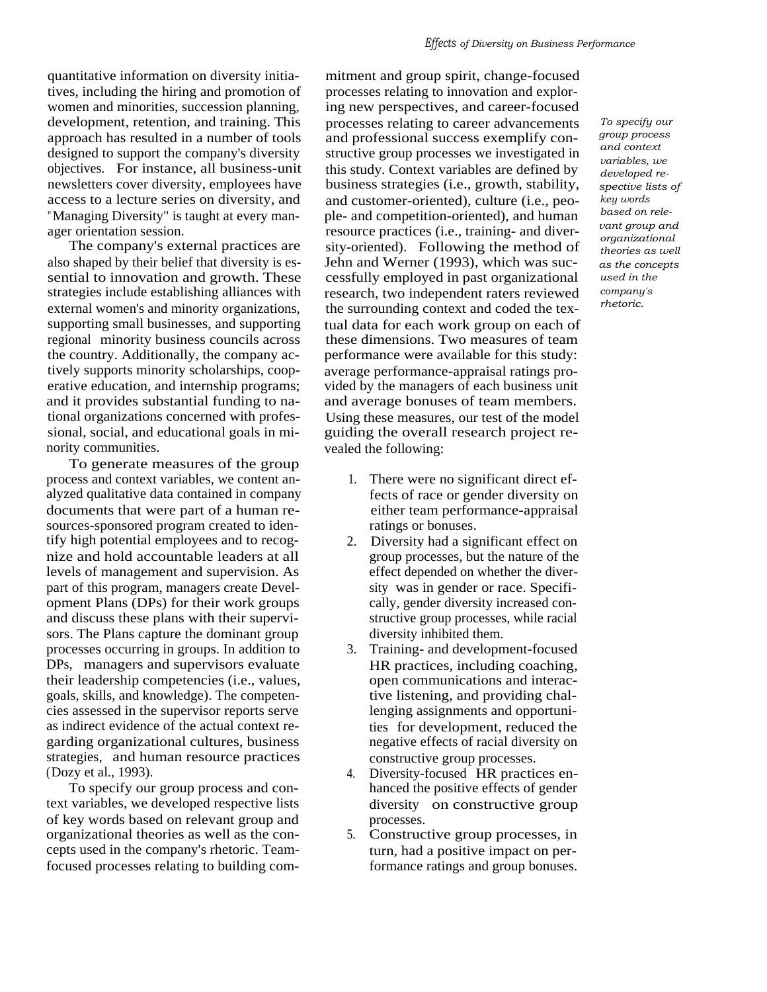quantitative information on diversity initiatives, including the hiring and promotion of women and minorities, succession planning, development, retention, and training. This approach has resulted in a number of tools designed to support the company's diversity objectives. For instance, all business-unit newsletters cover diversity, employees have access to a lecture series on diversity, and "Managing Diversity" is taught at every manager orientation session.

The company's external practices are also shaped by their belief that diversity is essential to innovation and growth. These strategies include establishing alliances with external women's and minority organizations, supporting small businesses, and supporting regional minority business councils across the country. Additionally, the company actively supports minority scholarships, cooperative education, and internship programs; and it provides substantial funding to national organizations concerned with professional, social, and educational goals in minority communities.

To generate measures of the group process and context variables, we content analyzed qualitative data contained in company documents that were part of a human resources-sponsored program created to identify high potential employees and to recognize and hold accountable leaders at all levels of management and supervision. As part of this program, managers create Development Plans (DPs) for their work groups and discuss these plans with their supervisors. The Plans capture the dominant group processes occurring in groups. In addition to DPs, managers and supervisors evaluate their leadership competencies (i.e., values, goals, skills, and knowledge). The competencies assessed in the supervisor reports serve as indirect evidence of the actual context regarding organizational cultures, business strategies, and human resource practices (Dozy et al., 1993).

To specify our group process and context variables, we developed respective lists of key words based on relevant group and organizational theories as well as the concepts used in the company's rhetoric. Teamfocused processes relating to building com-

mitment and group spirit, change-focused processes relating to innovation and exploring new perspectives, and career-focused processes relating to career advancements and professional success exemplify constructive group processes we investigated in this study. Context variables are defined by business strategies (i.e., growth, stability, and customer-oriented), culture (i.e., people- and competition-oriented), and human resource practices (i.e., training- and diversity-oriented). Following the method of Jehn and Werner (1993), which was successfully employed in past organizational research, two independent raters reviewed the surrounding context and coded the textual data for each work group on each of these dimensions. Two measures of team performance were available for this study: average performance-appraisal ratings provided by the managers of each business unit and average bonuses of team members. Using these measures, our test of the model guiding the overall research project revealed the following:

- 1. There were no significant direct effects of race or gender diversity on either team performance-appraisal ratings or bonuses.
- 2. Diversity had a significant effect on group processes, but the nature of the effect depended on whether the diversity was in gender or race. Specifically, gender diversity increased constructive group processes, while racial diversity inhibited them.
- 3. Training- and development-focused HR practices, including coaching, open communications and interactive listening, and providing challenging assignments and opportunities for development, reduced the negative effects of racial diversity on constructive group processes.
- 4. Diversity-focused HR practices enhanced the positive effects of gender diversity on constructive group processes.
- 5. Constructive group processes, in turn, had a positive impact on performance ratings and group bonuses.

*To specify our group process and context variables, we developed respective lists of key words based on relevant group and organizational theories as well as the concepts used in the company's rhetoric.*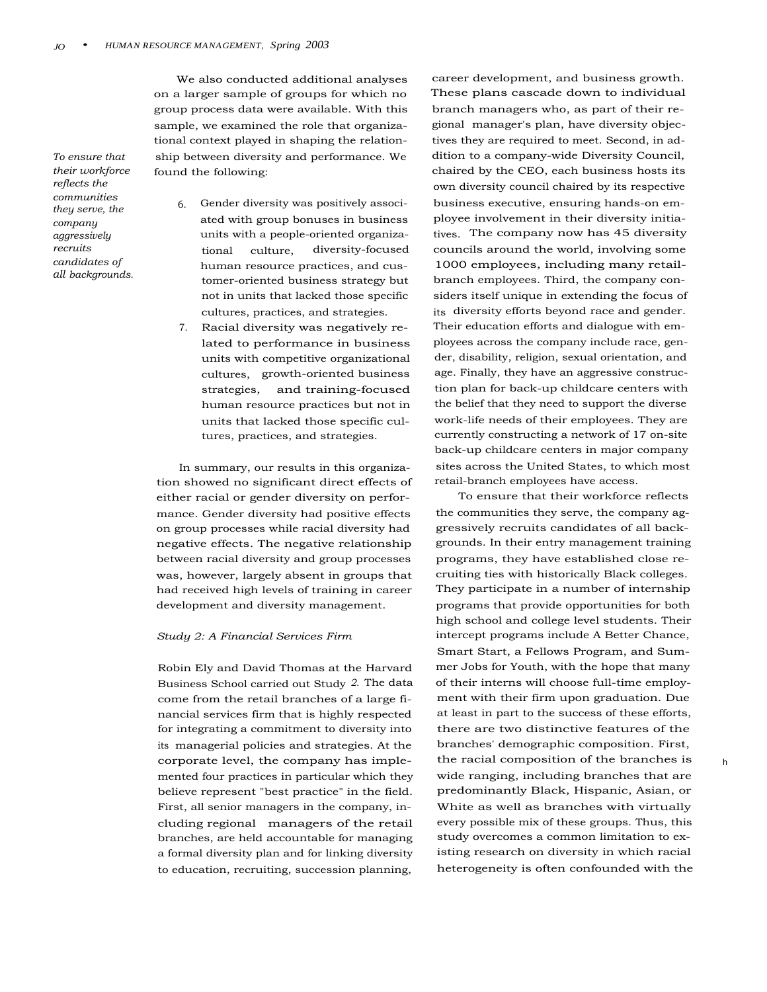*To ensure that their workforce reflects the communities they serve, the company aggressively recruits candidates of all backgrounds.*

We also conducted additional analyses on a larger sample of groups for which no group process data were available. With this sample, we examined the role that organizational context played in shaping the relationship between diversity and performance. We found the following:

- 6. Gender diversity was positively associated with group bonuses in business units with a people-oriented organizational culture, diversity-focused human resource practices, and customer-oriented business strategy but not in units that lacked those specific cultures, practices, and strategies.
- 7. Racial diversity was negatively related to performance in business units with competitive organizational cultures, growth-oriented business strategies, and training-focused human resource practices but not in units that lacked those specific cultures, practices, and strategies.

In summary, our results in this organization showed no significant direct effects of either racial or gender diversity on performance. Gender diversity had positive effects on group processes while racial diversity had negative effects. The negative relationship between racial diversity and group processes was, however, largely absent in groups that had received high levels of training in career development and diversity management.

#### *Study 2: A Financial Services Firm*

Robin Ely and David Thomas at the Harvard Business School carried out Study *2.* The data come from the retail branches of a large financial services firm that is highly respected for integrating a commitment to diversity into its managerial policies and strategies. At the corporate level, the company has implemented four practices in particular which they believe represent "best practice" in the field. First, all senior managers in the company, including regional managers of the retail branches, are held accountable for managing a formal diversity plan and for linking diversity to education, recruiting, succession planning,

career development, and business growth. These plans cascade down to individual branch managers who, as part of their regional manager's plan, have diversity objectives they are required to meet. Second, in addition to a company-wide Diversity Council, chaired by the CEO, each business hosts its own diversity council chaired by its respective business executive, ensuring hands-on employee involvement in their diversity initiatives. The company now has 45 diversity councils around the world, involving some 1000 employees, including many retailbranch employees. Third, the company considers itself unique in extending the focus of its diversity efforts beyond race and gender. Their education efforts and dialogue with employees across the company include race, gender, disability, religion, sexual orientation, and age. Finally, they have an aggressive construction plan for back-up childcare centers with the belief that they need to support the diverse work-life needs of their employees. They are currently constructing a network of 17 on-site back-up childcare centers in major company sites across the United States, to which most retail-branch employees have access.

To ensure that their workforce reflects the communities they serve, the company aggressively recruits candidates of all backgrounds. In their entry management training programs, they have established close recruiting ties with historically Black colleges. They participate in a number of internship programs that provide opportunities for both high school and college level students. Their intercept programs include A Better Chance, Smart Start, a Fellows Program, and Summer Jobs for Youth, with the hope that many of their interns will choose full-time employment with their firm upon graduation. Due at least in part to the success of these efforts, there are two distinctive features of the branches' demographic composition. First, the racial composition of the branches is wide ranging, including branches that are predominantly Black, Hispanic, Asian, or White as well as branches with virtually every possible mix of these groups. Thus, this study overcomes a common limitation to existing research on diversity in which racial heterogeneity is often confounded with the

h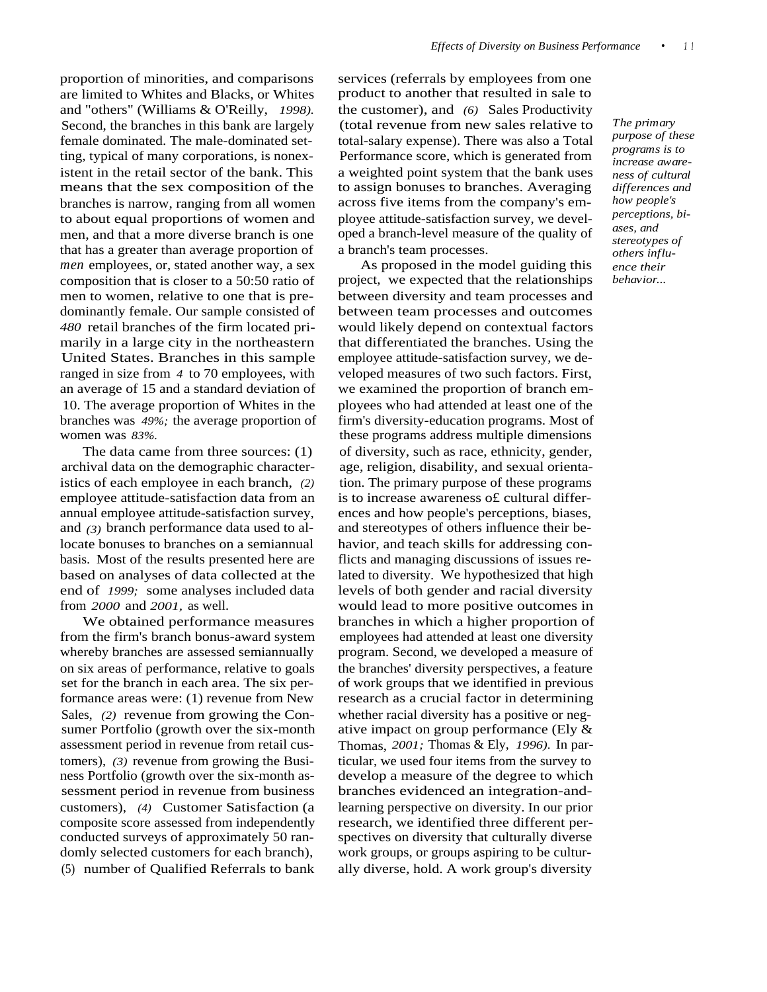proportion of minorities, and comparisons are limited to Whites and Blacks, or Whites and "others" (Williams & O'Reilly, *1998).* Second, the branches in this bank are largely female dominated. The male-dominated setting, typical of many corporations, is nonexistent in the retail sector of the bank. This means that the sex composition of the branches is narrow, ranging from all women to about equal proportions of women and men, and that a more diverse branch is one that has a greater than average proportion of *men* employees, or, stated another way, a sex composition that is closer to a 50:50 ratio of men to women, relative to one that is predominantly female. Our sample consisted of *480* retail branches of the firm located primarily in a large city in the northeastern United States. Branches in this sample ranged in size from *4* to 70 employees, with an average of 15 and a standard deviation of 10. The average proportion of Whites in the branches was *49%;* the average proportion of women was *83%.*

The data came from three sources: (1) archival data on the demographic characteristics of each employee in each branch, *(2)* employee attitude-satisfaction data from an annual employee attitude-satisfaction survey, and *(3)* branch performance data used to allocate bonuses to branches on a semiannual basis. Most of the results presented here are based on analyses of data collected at the end of *1999;* some analyses included data from *2000* and *2001,* as well.

We obtained performance measures from the firm's branch bonus-award system whereby branches are assessed semiannually on six areas of performance, relative to goals set for the branch in each area. The six performance areas were: (1) revenue from New Sales, *(2)* revenue from growing the Consumer Portfolio (growth over the six-month assessment period in revenue from retail customers), *(3)* revenue from growing the Business Portfolio (growth over the six-month assessment period in revenue from business customers), *(4)* Customer Satisfaction (a composite score assessed from independently conducted surveys of approximately 50 randomly selected customers for each branch), (5) number of Qualified Referrals to bank services (referrals by employees from one product to another that resulted in sale to the customer), and *(6)* Sales Productivity (total revenue from new sales relative to total-salary expense). There was also a Total Performance score, which is generated from a weighted point system that the bank uses to assign bonuses to branches. Averaging across five items from the company's employee attitude-satisfaction survey, we developed a branch-level measure of the quality of a branch's team processes.

As proposed in the model guiding this project, we expected that the relationships between diversity and team processes and between team processes and outcomes would likely depend on contextual factors that differentiated the branches. Using the employee attitude-satisfaction survey, we developed measures of two such factors. First, we examined the proportion of branch employees who had attended at least one of the firm's diversity-education programs. Most of these programs address multiple dimensions of diversity, such as race, ethnicity, gender, age, religion, disability, and sexual orientation. The primary purpose of these programs is to increase awareness o£ cultural differences and how people's perceptions, biases, and stereotypes of others influence their behavior, and teach skills for addressing conflicts and managing discussions of issues related to diversity. We hypothesized that high levels of both gender and racial diversity would lead to more positive outcomes in branches in which a higher proportion of employees had attended at least one diversity program. Second, we developed a measure of the branches' diversity perspectives, a feature of work groups that we identified in previous research as a crucial factor in determining whether racial diversity has a positive or negative impact on group performance (Ely & Thomas, *2001;* Thomas & Ely, *1996).* In particular, we used four items from the survey to develop a measure of the degree to which branches evidenced an integration-andlearning perspective on diversity. In our prior research, we identified three different perspectives on diversity that culturally diverse work groups, or groups aspiring to be culturally diverse, hold. A work group's diversity

*The primary purpose of these programs is to increase awareness of cultural differences and how people's perceptions, biases, and stereotypes of others influence their behavior...*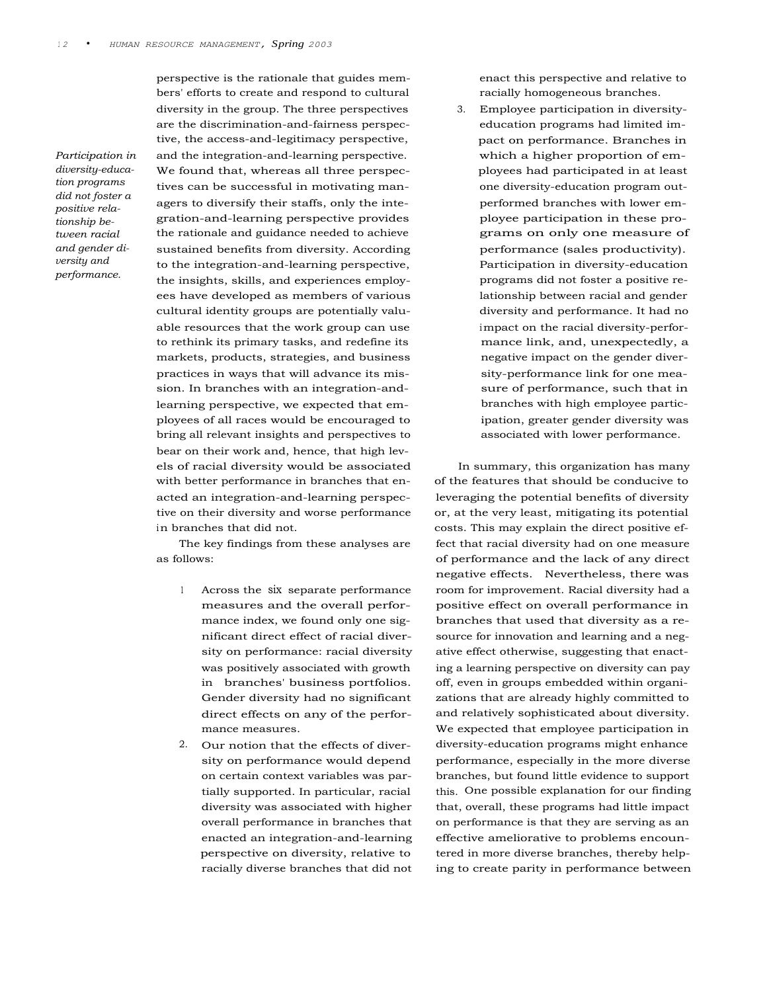*Participation in diversity-education programs did not foster a positive relationship between racial and gender diversity and performance.*

perspective is the rationale that guides members' efforts to create and respond to cultural diversity in the group. The three perspectives are the discrimination-and-fairness perspective, the access-and-legitimacy perspective, and the integration-and-learning perspective. We found that, whereas all three perspectives can be successful in motivating managers to diversify their staffs, only the integration-and-learning perspective provides the rationale and guidance needed to achieve sustained benefits from diversity. According to the integration-and-learning perspective, the insights, skills, and experiences employees have developed as members of various cultural identity groups are potentially valuable resources that the work group can use to rethink its primary tasks, and redefine its markets, products, strategies, and business practices in ways that will advance its mission. In branches with an integration-andlearning perspective, we expected that employees of all races would be encouraged to bring all relevant insights and perspectives to bear on their work and, hence, that high levels of racial diversity would be associated with better performance in branches that enacted an integration-and-learning perspective on their diversity and worse performance in branches that did not.

The key findings from these analyses are as follows:

- <sup>1</sup> Across the six separate performance measures and the overall performance index, we found only one significant direct effect of racial diversity on performance: racial diversity was positively associated with growth in branches' business portfolios. Gender diversity had no significant direct effects on any of the performance measures.
- 2. Our notion that the effects of diversity on performance would depend on certain context variables was partially supported. In particular, racial diversity was associated with higher overall performance in branches that enacted an integration-and-learning perspective on diversity, relative to racially diverse branches that did not

enact this perspective and relative to racially homogeneous branches.

3. Employee participation in diversityeducation programs had limited impact on performance. Branches in which a higher proportion of employees had participated in at least one diversity-education program outperformed branches with lower employee participation in these programs on only one measure of performance (sales productivity). Participation in diversity-education programs did not foster a positive relationship between racial and gender diversity and performance. It had no impact on the racial diversity-performance link, and, unexpectedly, a negative impact on the gender diversity-performance link for one measure of performance, such that in branches with high employee participation, greater gender diversity was associated with lower performance.

In summary, this organization has many of the features that should be conducive to leveraging the potential benefits of diversity or, at the very least, mitigating its potential costs. This may explain the direct positive effect that racial diversity had on one measure of performance and the lack of any direct negative effects. Nevertheless, there was room for improvement. Racial diversity had a positive effect on overall performance in branches that used that diversity as a resource for innovation and learning and a negative effect otherwise, suggesting that enacting a learning perspective on diversity can pay off, even in groups embedded within organizations that are already highly committed to and relatively sophisticated about diversity. We expected that employee participation in diversity-education programs might enhance performance, especially in the more diverse branches, but found little evidence to support this. One possible explanation for our finding that, overall, these programs had little impact on performance is that they are serving as an effective ameliorative to problems encountered in more diverse branches, thereby helping to create parity in performance between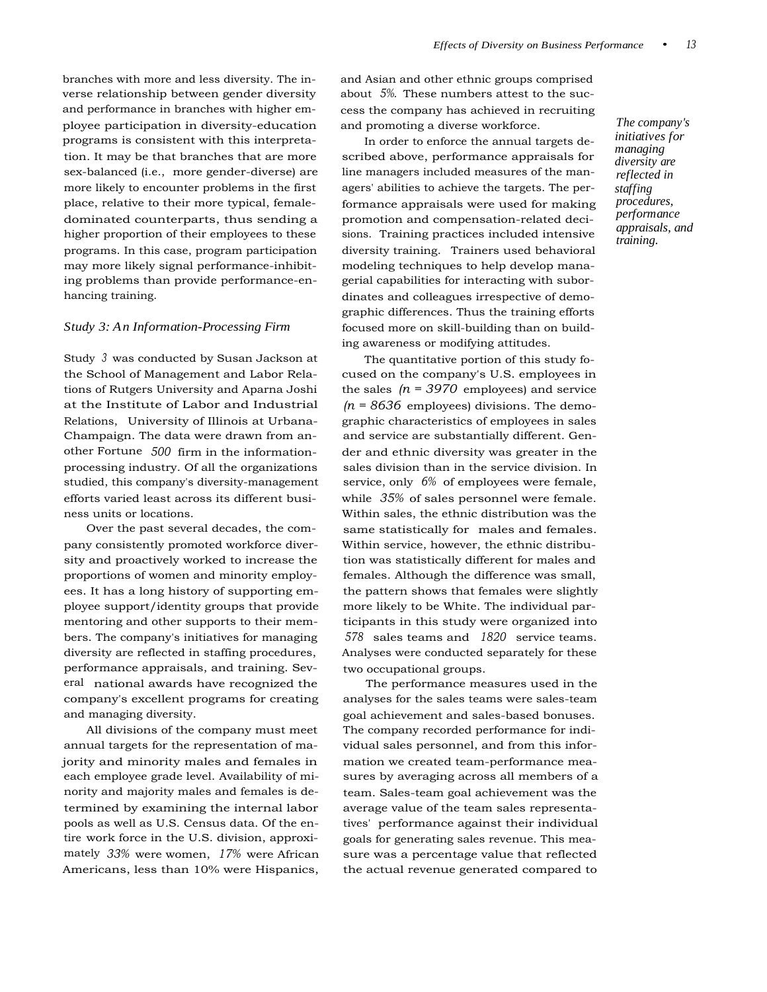branches with more and less diversity. The inverse relationship between gender diversity and performance in branches with higher employee participation in diversity-education programs is consistent with this interpretation. It may be that branches that are more sex-balanced (i.e., more gender-diverse) are more likely to encounter problems in the first place, relative to their more typical, femaledominated counterparts, thus sending a higher proportion of their employees to these programs. In this case, program participation may more likely signal performance-inhibiting problems than provide performance-enhancing training.

### *Study 3: An Information-Processing Firm*

Study *<sup>3</sup>* was conducted by Susan Jackson at the School of Management and Labor Relations of Rutgers University and Aparna Joshi at the Institute of Labor and Industrial Relations, University of Illinois at Urbana-Champaign. The data were drawn from another Fortune *500* firm in the informationprocessing industry. Of all the organizations studied, this company's diversity-management efforts varied least across its different business units or locations.

Over the past several decades, the company consistently promoted workforce diversity and proactively worked to increase the proportions of women and minority employees. It has a long history of supporting employee support/identity groups that provide mentoring and other supports to their members. The company's initiatives for managing diversity are reflected in staffing procedures, performance appraisals, and training. Several national awards have recognized the company's excellent programs for creating and managing diversity.

All divisions of the company must meet annual targets for the representation of majority and minority males and females in each employee grade level. Availability of minority and majority males and females is determined by examining the internal labor pools as well as U.S. Census data. Of the entire work force in the U.S. division, approximately *33%* were women, *17%* were African Americans, less than 10% were Hispanics, and Asian and other ethnic groups comprised about *5%.* These numbers attest to the success the company has achieved in recruiting and promoting a diverse workforce.

In order to enforce the annual targets described above, performance appraisals for line managers included measures of the managers' abilities to achieve the targets. The performance appraisals were used for making promotion and compensation-related decisions. Training practices included intensive diversity training. Trainers used behavioral modeling techniques to help develop managerial capabilities for interacting with subordinates and colleagues irrespective of demographic differences. Thus the training efforts focused more on skill-building than on building awareness or modifying attitudes.

The quantitative portion of this study focused on the company's U.S. employees in the sales *(n = 3970* employees) and service *(n = 8636* employees) divisions. The demographic characteristics of employees in sales and service are substantially different. Gender and ethnic diversity was greater in the sales division than in the service division. In service, only *6%* of employees were female, while *35%* of sales personnel were female. Within sales, the ethnic distribution was the same statistically for males and females. Within service, however, the ethnic distribution was statistically different for males and females. Although the difference was small, the pattern shows that females were slightly more likely to be White. The individual participants in this study were organized into *578* sales teams and *1820* service teams. Analyses were conducted separately for these two occupational groups.

The performance measures used in the analyses for the sales teams were sales-team goal achievement and sales-based bonuses. The company recorded performance for individual sales personnel, and from this information we created team-performance measures by averaging across all members of a team. Sales-team goal achievement was the average value of the team sales representatives' performance against their individual goals for generating sales revenue. This measure was a percentage value that reflected the actual revenue generated compared to

*The company's initiatives for managing diversity are reflected in staffing procedures, performance appraisals, and training.*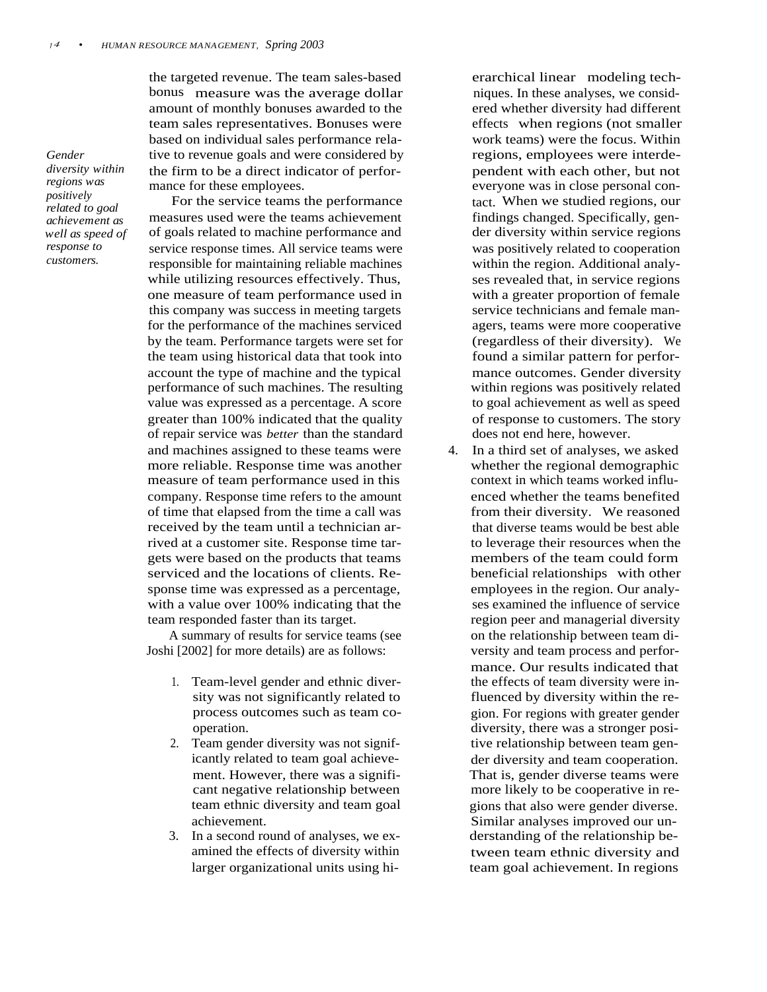the targeted revenue. The team sales-based bonus measure was the average dollar amount of monthly bonuses awarded to the team sales representatives. Bonuses were based on individual sales performance relative to revenue goals and were considered by the firm to be a direct indicator of performance for these employees.

For the service teams the performance measures used were the teams achievement of goals related to machine performance and service response times. All service teams were responsible for maintaining reliable machines while utilizing resources effectively. Thus, one measure of team performance used in this company was success in meeting targets for the performance of the machines serviced by the team. Performance targets were set for the team using historical data that took into account the type of machine and the typical performance of such machines. The resulting value was expressed as a percentage. A score greater than 100% indicated that the quality of repair service was *better* than the standard and machines assigned to these teams were more reliable. Response time was another measure of team performance used in this company. Response time refers to the amount of time that elapsed from the time a call was received by the team until a technician arrived at a customer site. Response time targets were based on the products that teams serviced and the locations of clients. Response time was expressed as a percentage, with a value over 100% indicating that the team responded faster than its target.

A summary of results for service teams (see Joshi [2002] for more details) are as follows:

- 1. Team-level gender and ethnic diversity was not significantly related to process outcomes such as team cooperation.
- 2. Team gender diversity was not significantly related to team goal achievement. However, there was a significant negative relationship between team ethnic diversity and team goal achievement.
- 3. In a second round of analyses, we examined the effects of diversity within larger organizational units using hi-

erarchical linear modeling techniques. In these analyses, we considered whether diversity had different effects when regions (not smaller work teams) were the focus. Within regions, employees were interdependent with each other, but not everyone was in close personal contact. When we studied regions, our findings changed. Specifically, gender diversity within service regions was positively related to cooperation within the region. Additional analyses revealed that, in service regions with a greater proportion of female service technicians and female managers, teams were more cooperative (regardless of their diversity). We found a similar pattern for performance outcomes. Gender diversity within regions was positively related to goal achievement as well as speed of response to customers. The story does not end here, however.

4. In a third set of analyses, we asked whether the regional demographic context in which teams worked influenced whether the teams benefited from their diversity. We reasoned that diverse teams would be best able to leverage their resources when the members of the team could form beneficial relationships with other employees in the region. Our analyses examined the influence of service region peer and managerial diversity on the relationship between team diversity and team process and performance. Our results indicated that the effects of team diversity were influenced by diversity within the region. For regions with greater gender diversity, there was a stronger positive relationship between team gender diversity and team cooperation. That is, gender diverse teams were more likely to be cooperative in regions that also were gender diverse. Similar analyses improved our understanding of the relationship between team ethnic diversity and team goal achievement. In regions

*Gender diversity within regions was positively related to goal achievement as well as speed of response to customers.*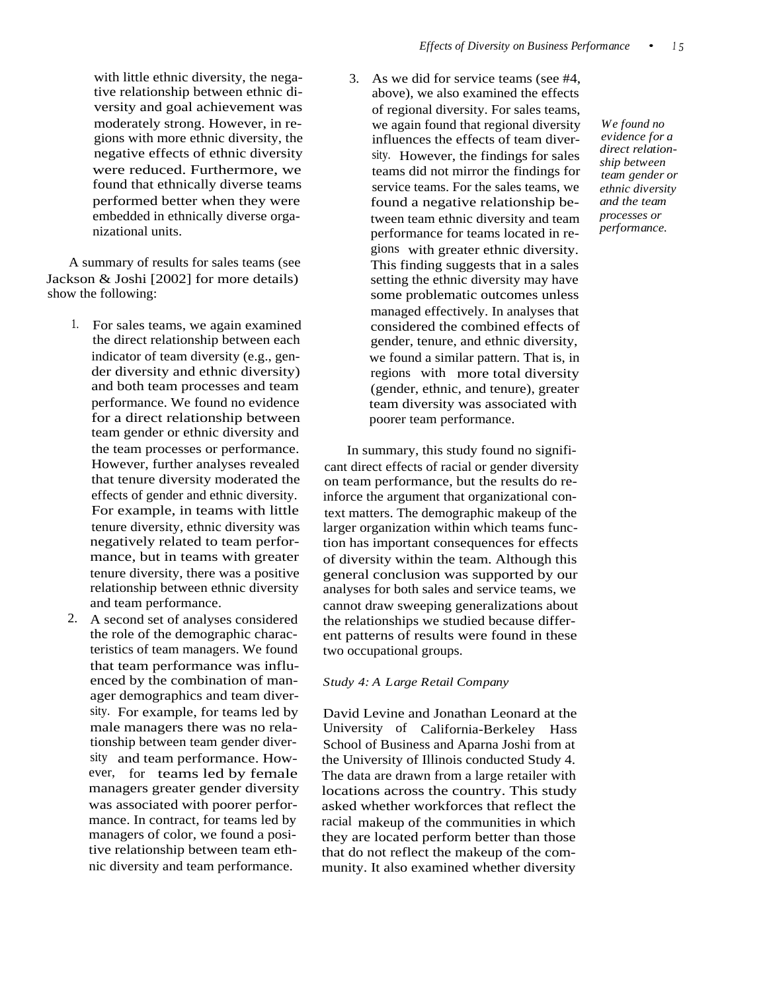with little ethnic diversity, the negative relationship between ethnic diversity and goal achievement was moderately strong. However, in regions with more ethnic diversity, the negative effects of ethnic diversity were reduced. Furthermore, we found that ethnically diverse teams performed better when they were embedded in ethnically diverse organizational units.

A summary of results for sales teams (see Jackson & Joshi [2002] for more details) show the following:

- 1. For sales teams, we again examined the direct relationship between each indicator of team diversity (e.g., gender diversity and ethnic diversity) and both team processes and team performance. We found no evidence for a direct relationship between team gender or ethnic diversity and the team processes or performance. However, further analyses revealed that tenure diversity moderated the effects of gender and ethnic diversity. For example, in teams with little tenure diversity, ethnic diversity was negatively related to team performance, but in teams with greater tenure diversity, there was a positive relationship between ethnic diversity and team performance.
- 2. A second set of analyses considered the role of the demographic characteristics of team managers. We found that team performance was influenced by the combination of manager demographics and team diversity. For example, for teams led by male managers there was no relationship between team gender diversity and team performance. However, for teams led by female managers greater gender diversity was associated with poorer performance. In contract, for teams led by managers of color, we found a positive relationship between team ethnic diversity and team performance.

3. As we did for service teams (see #4, above), we also examined the effects of regional diversity. For sales teams, we again found that regional diversity influences the effects of team diversity. However, the findings for sales teams did not mirror the findings for service teams. For the sales teams, we found a negative relationship between team ethnic diversity and team performance for teams located in regions with greater ethnic diversity. This finding suggests that in a sales setting the ethnic diversity may have some problematic outcomes unless managed effectively. In analyses that considered the combined effects of gender, tenure, and ethnic diversity, we found a similar pattern. That is, in regions with more total diversity (gender, ethnic, and tenure), greater team diversity was associated with poorer team performance.

In summary, this study found no significant direct effects of racial or gender diversity on team performance, but the results do reinforce the argument that organizational context matters. The demographic makeup of the larger organization within which teams function has important consequences for effects of diversity within the team. Although this general conclusion was supported by our analyses for both sales and service teams, we cannot draw sweeping generalizations about the relationships we studied because different patterns of results were found in these two occupational groups.

## *Study 4: A Large Retail Company*

David Levine and Jonathan Leonard at the University of California-Berkeley Hass School of Business and Aparna Joshi from at the University of Illinois conducted Study 4. The data are drawn from a large retailer with locations across the country. This study asked whether workforces that reflect the racial makeup of the communities in which they are located perform better than those that do not reflect the makeup of the community. It also examined whether diversity

*We found no evidence for a direct relationship between team gender or ethnic diversity and the team processes or performance.*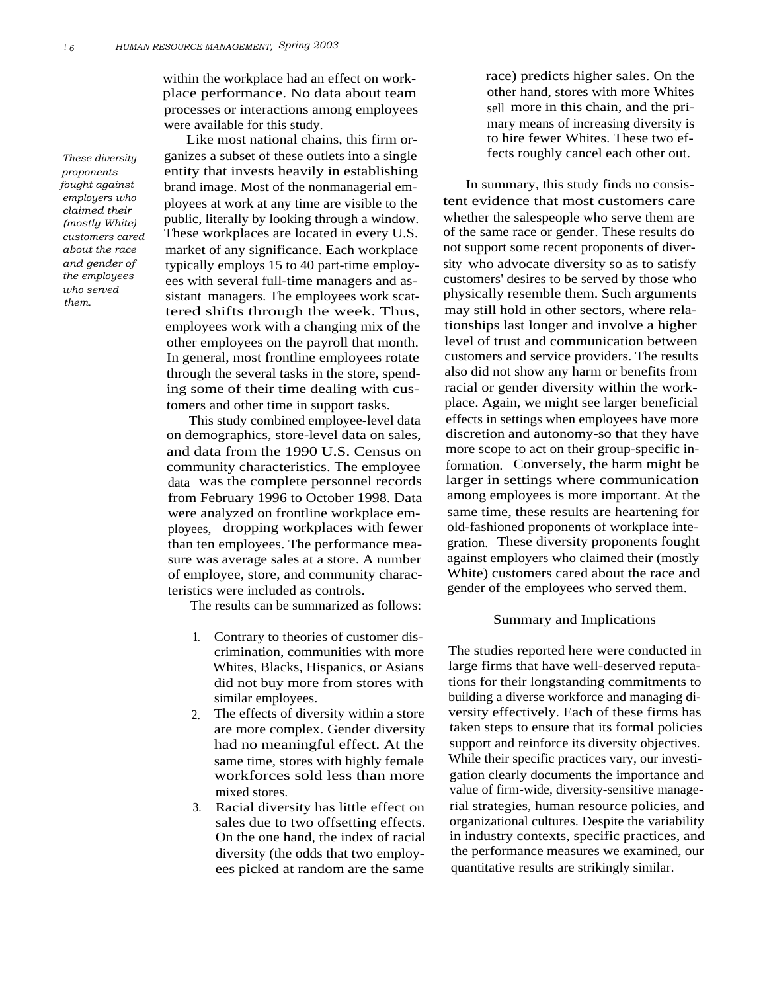within the workplace had an effect on workplace performance. No data about team processes or interactions among employees were available for this study.

*These diversity proponents fought against employers who claimed their (mostly White) customers cared about the race and gender of the employees who served them.*

Like most national chains, this firm organizes a subset of these outlets into a single entity that invests heavily in establishing brand image. Most of the nonmanagerial employees at work at any time are visible to the public, literally by looking through a window. These workplaces are located in every U.S. market of any significance. Each workplace typically employs 15 to 40 part-time employees with several full-time managers and assistant managers. The employees work scattered shifts through the week. Thus, employees work with a changing mix of the other employees on the payroll that month. In general, most frontline employees rotate through the several tasks in the store, spending some of their time dealing with customers and other time in support tasks.

This study combined employee-level data on demographics, store-level data on sales, and data from the 1990 U.S. Census on community characteristics. The employee data was the complete personnel records from February 1996 to October 1998. Data were analyzed on frontline workplace employees, dropping workplaces with fewer than ten employees. The performance measure was average sales at a store. A number of employee, store, and community characteristics were included as controls.

The results can be summarized as follows:

- 1. Contrary to theories of customer discrimination, communities with more Whites, Blacks, Hispanics, or Asians did not buy more from stores with similar employees.
- 2. The effects of diversity within a store are more complex. Gender diversity had no meaningful effect. At the same time, stores with highly female workforces sold less than more mixed stores.
- 3. Racial diversity has little effect on sales due to two offsetting effects. On the one hand, the index of racial diversity (the odds that two employees picked at random are the same

race) predicts higher sales. On the other hand, stores with more Whites sell more in this chain, and the primary means of increasing diversity is to hire fewer Whites. These two effects roughly cancel each other out.

In summary, this study finds no consistent evidence that most customers care whether the salespeople who serve them are of the same race or gender. These results do not support some recent proponents of diversity who advocate diversity so as to satisfy customers' desires to be served by those who physically resemble them. Such arguments may still hold in other sectors, where relationships last longer and involve a higher level of trust and communication between customers and service providers. The results also did not show any harm or benefits from racial or gender diversity within the workplace. Again, we might see larger beneficial effects in settings when employees have more discretion and autonomy-so that they have more scope to act on their group-specific information. Conversely, the harm might be larger in settings where communication among employees is more important. At the same time, these results are heartening for old-fashioned proponents of workplace integration. These diversity proponents fought against employers who claimed their (mostly White) customers cared about the race and gender of the employees who served them.

## Summary and Implications

The studies reported here were conducted in large firms that have well-deserved reputations for their longstanding commitments to building a diverse workforce and managing diversity effectively. Each of these firms has taken steps to ensure that its formal policies support and reinforce its diversity objectives. While their specific practices vary, our investigation clearly documents the importance and value of firm-wide, diversity-sensitive managerial strategies, human resource policies, and organizational cultures. Despite the variability in industry contexts, specific practices, and the performance measures we examined, our quantitative results are strikingly similar.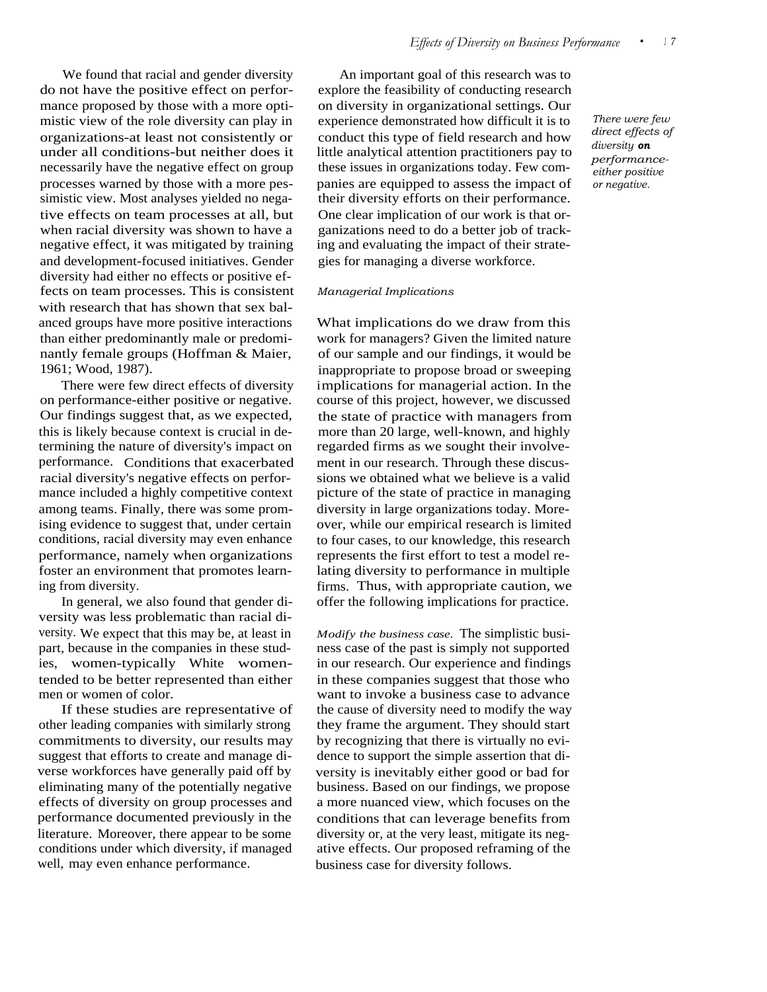We found that racial and gender diversity do not have the positive effect on performance proposed by those with a more optimistic view of the role diversity can play in organizations-at least not consistently or under all conditions-but neither does it necessarily have the negative effect on group processes warned by those with a more pessimistic view. Most analyses yielded no negative effects on team processes at all, but when racial diversity was shown to have a negative effect, it was mitigated by training and development-focused initiatives. Gender diversity had either no effects or positive effects on team processes. This is consistent with research that has shown that sex balanced groups have more positive interactions than either predominantly male or predominantly female groups (Hoffman & Maier, 1961; Wood, 1987).

There were few direct effects of diversity on performance-either positive or negative. Our findings suggest that, as we expected, this is likely because context is crucial in determining the nature of diversity's impact on performance. Conditions that exacerbated racial diversity's negative effects on performance included a highly competitive context among teams. Finally, there was some promising evidence to suggest that, under certain conditions, racial diversity may even enhance performance, namely when organizations foster an environment that promotes learning from diversity.

In general, we also found that gender diversity was less problematic than racial diversity. We expect that this may be, at least in part, because in the companies in these studies, women-typically White womentended to be better represented than either men or women of color.

If these studies are representative of other leading companies with similarly strong commitments to diversity, our results may suggest that efforts to create and manage diverse workforces have generally paid off by eliminating many of the potentially negative effects of diversity on group processes and performance documented previously in the literature. Moreover, there appear to be some conditions under which diversity, if managed well, may even enhance performance.

An important goal of this research was to explore the feasibility of conducting research on diversity in organizational settings. Our experience demonstrated how difficult it is to conduct this type of field research and how little analytical attention practitioners pay to these issues in organizations today. Few companies are equipped to assess the impact of their diversity efforts on their performance. One clear implication of our work is that organizations need to do a better job of tracking and evaluating the impact of their strategies for managing a diverse workforce.

## *Managerial Implications*

What implications do we draw from this work for managers? Given the limited nature of our sample and our findings, it would be inappropriate to propose broad or sweeping implications for managerial action. In the course of this project, however, we discussed the state of practice with managers from more than 20 large, well-known, and highly regarded firms as we sought their involvement in our research. Through these discussions we obtained what we believe is a valid picture of the state of practice in managing diversity in large organizations today. Moreover, while our empirical research is limited to four cases, to our knowledge, this research represents the first effort to test a model relating diversity to performance in multiple firms. Thus, with appropriate caution, we offer the following implications for practice.

*Modify the business case.* The simplistic business case of the past is simply not supported in our research. Our experience and findings in these companies suggest that those who want to invoke a business case to advance the cause of diversity need to modify the way they frame the argument. They should start by recognizing that there is virtually no evidence to support the simple assertion that diversity is inevitably either good or bad for business. Based on our findings, we propose a more nuanced view, which focuses on the conditions that can leverage benefits from diversity or, at the very least, mitigate its negative effects. Our proposed reframing of the business case for diversity follows.

*There were few direct effects of diversity on performanceeither positive or negative.*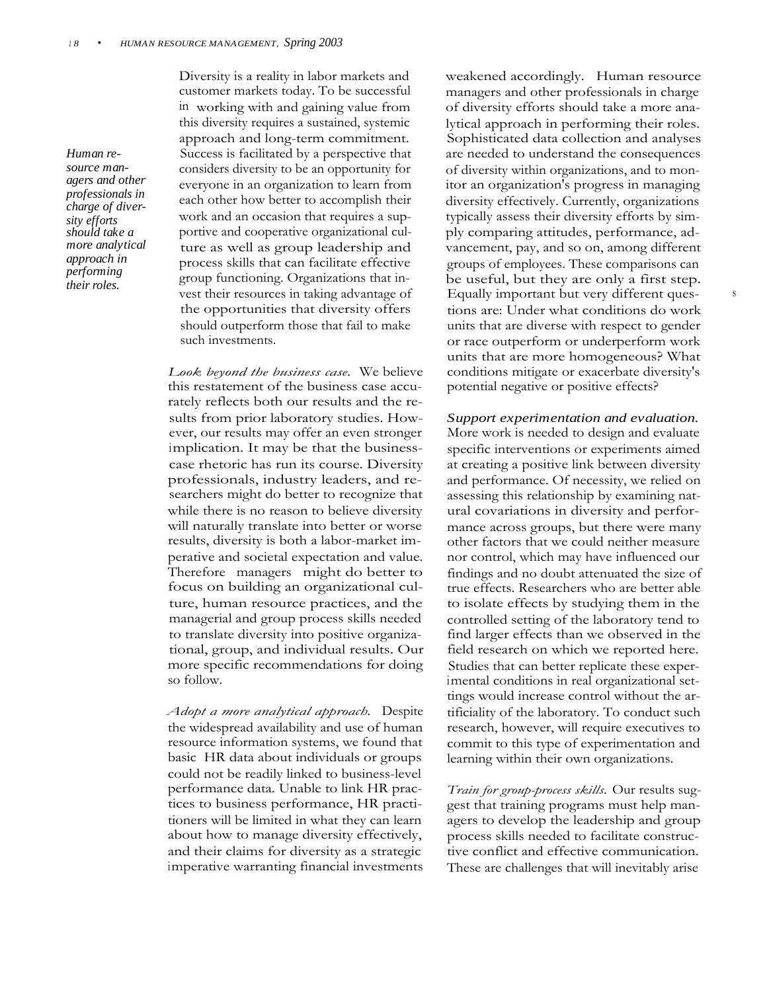*Human resource managers and other professionals in charge of diversity efforts should take a more analytical approach in performing their roles.*

Diversity is a reality in labor markets and customer markets today. To be successful in working with and gaining value from this diversity requires a sustained, systemic approach and long-term commitment. Success is facilitated by a perspective that considers diversity to be an opportunity for everyone in an organization to learn from each other how better to accomplish their work and an occasion that requires a supportive and cooperative organizational culture as well as group leadership and process skills that can facilitate effective group functioning. Organizations that invest their resources in taking advantage of the opportunities that diversity offers should outperform those that fail to make such investments.

*Look beyond the business case.* We believe this restatement of the business case accurately reflects both our results and the results from prior laboratory studies. However, our results may offer an even stronger implication. It may be that the businesscase rhetoric has run its course. Diversity professionals, industry leaders, and researchers might do better to recognize that while there is no reason to believe diversity will naturally translate into better or worse results, diversity is both a labor-market imperative and societal expectation and value. Therefore managers might do better to focus on building an organizational culture, human resource practices, and the managerial and group process skills needed to translate diversity into positive organizational, group, and individual results. Our more specific recommendations for doing so follow.

*Adopt a more analytical approach.* Despite the widespread availability and use of human resource information systems, we found that basic HR data about individuals or groups could not be readily linked to business-level performance data. Unable to link HR practices to business performance, HR practitioners will be limited in what they can learn about how to manage diversity effectively, and their claims for diversity as a strategic imperative warranting financial investments

weakened accordingly. Human resource managers and other professionals in charge of diversity efforts should take a more analytical approach in performing their roles. Sophisticated data collection and analyses are needed to understand the consequences of diversity within organizations, and to monitor an organization's progress in managing diversity effectively. Currently, organizations typically assess their diversity efforts by simply comparing attitudes, performance, advancement, pay, and so on, among different groups of employees. These comparisons can be useful, but they are only a first step. Equally important but very different questions are: Under what conditions do work units that are diverse with respect to gender or race outperform or underperform work units that are more homogeneous? What conditions mitigate or exacerbate diversity's potential negative or positive effects?

s

*Support experimentation and evaluation.* More work is needed to design and evaluate specific interventions or experiments aimed at creating a positive link between diversity and performance. Of necessity, we relied on assessing this relationship by examining natural covariations in diversity and performance across groups, but there were many other factors that we could neither measure nor control, which may have influenced our findings and no doubt attenuated the size of true effects. Researchers who are better able to isolate effects by studying them in the controlled setting of the laboratory tend to find larger effects than we observed in the field research on which we reported here. Studies that can better replicate these experimental conditions in real organizational settings would increase control without the artificiality of the laboratory. To conduct such research, however, will require executives to commit to this type of experimentation and learning within their own organizations.

*Train for group-process skills.* Our results suggest that training programs must help managers to develop the leadership and group process skills needed to facilitate constructive conflict and effective communication. These are challenges that will inevitably arise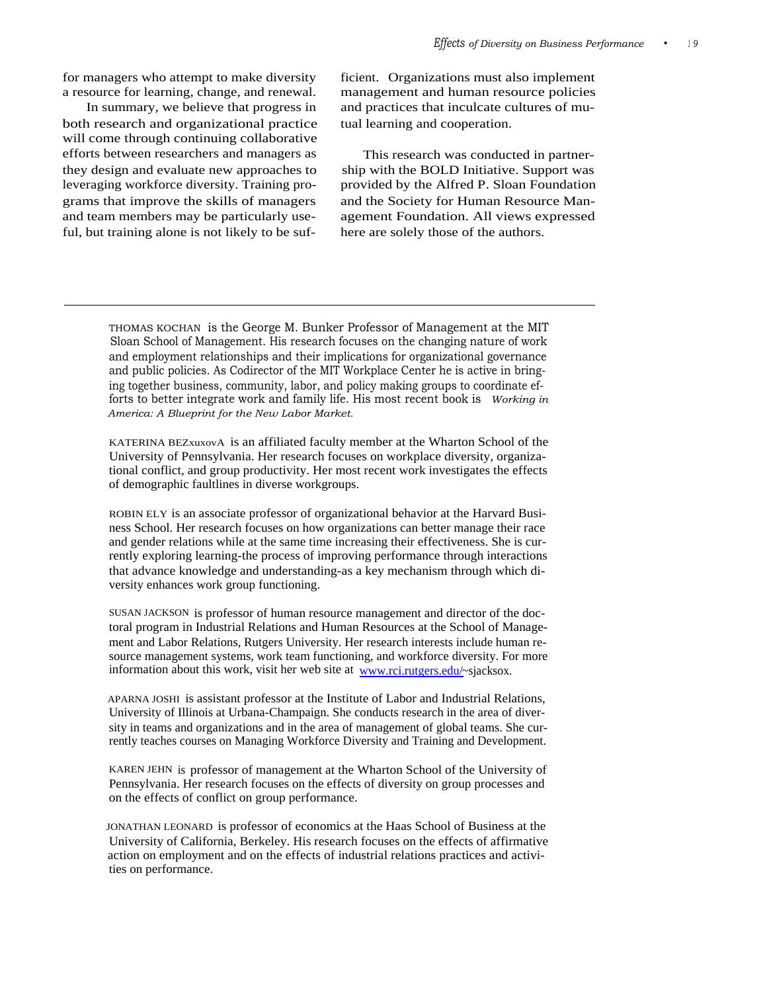for managers who attempt to make diversity a resource for learning, change, and renewal.

In summary, we believe that progress in both research and organizational practice will come through continuing collaborative efforts between researchers and managers as they design and evaluate new approaches to leveraging workforce diversity. Training programs that improve the skills of managers and team members may be particularly useful, but training alone is not likely to be sufficient. Organizations must also implement management and human resource policies and practices that inculcate cultures of mutual learning and cooperation.

This research was conducted in partnership with the BOLD Initiative. Support was provided by the Alfred P. Sloan Foundation and the Society for Human Resource Management Foundation. All views expressed here are solely those of the authors.

THOMAS KOCHAN is the George M. Bunker Professor of Management at the MIT Sloan School of Management. His research focuses on the changing nature of work and employment relationships and their implications for organizational governance and public policies. As Codirector of the MIT Workplace Center he is active in bringing together business, community, labor, and policy making groups to coordinate efforts to better integrate work and family life. His most recent book is *Working in America: A Blueprint for the New Labor Market.*

KATERINA BEZxuxovA is an affiliated faculty member at the Wharton School of the University of Pennsylvania. Her research focuses on workplace diversity, organizational conflict, and group productivity. Her most recent work investigates the effects of demographic faultlines in diverse workgroups.

ROBIN ELY is an associate professor of organizational behavior at the Harvard Business School. Her research focuses on how organizations can better manage their race and gender relations while at the same time increasing their effectiveness. She is currently exploring learning-the process of improving performance through interactions that advance knowledge and understanding-as a key mechanism through which diversity enhances work group functioning.

SUSAN JACKSON is professor of human resource management and director of the doctoral program in Industrial Relations and Human Resources at the School of Management and Labor Relations, Rutgers University. Her research interests include human resource management systems, work team functioning, and workforce diversity. For more information about this work, visit her web site at [www.rci.rutgers.edu/~](http://www.rci.rutgers.edu/)sjacksox.

APARNA JOSHI is assistant professor at the Institute of Labor and Industrial Relations, University of Illinois at Urbana-Champaign. She conducts research in the area of diversity in teams and organizations and in the area of management of global teams. She currently teaches courses on Managing Workforce Diversity and Training and Development.

KAREN JEHN is professor of management at the Wharton School of the University of Pennsylvania. Her research focuses on the effects of diversity on group processes and on the effects of conflict on group performance.

JONATHAN LEONARD is professor of economics at the Haas School of Business at the University of California, Berkeley. His research focuses on the effects of affirmative action on employment and on the effects of industrial relations practices and activities on performance.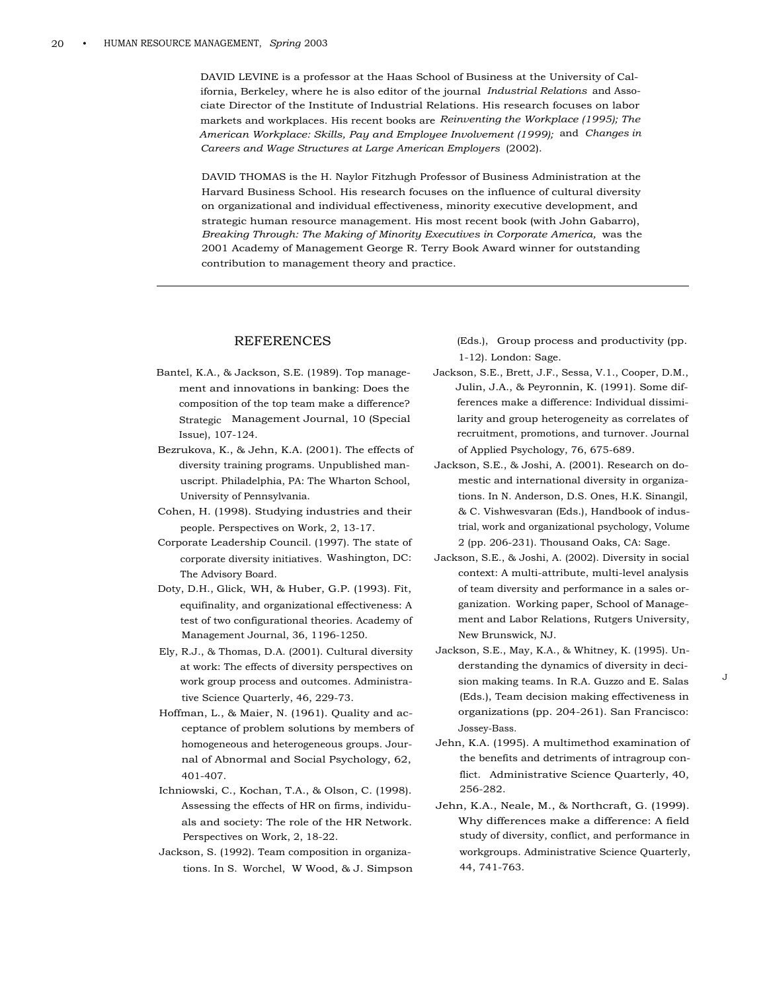DAVID LEVINE is a professor at the Haas School of Business at the University of California, Berkeley, where he is also editor of the journal *Industrial Relations* and Associate Director of the Institute of Industrial Relations. His research focuses on labor markets and workplaces. His recent books are *Reinventing the Workplace (1995); The American Workplace: Skills, Pay and Employee Involvement (1999);* and *Changes in Careers and Wage Structures at Large American Employers* (2002).

DAVID THOMAS is the H. Naylor Fitzhugh Professor of Business Administration at the Harvard Business School. His research focuses on the influence of cultural diversity on organizational and individual effectiveness, minority executive development, and strategic human resource management. His most recent book (with John Gabarro), *Breaking Through: The Making of Minority Executives in Corporate America,* was the 2001 Academy of Management George R. Terry Book Award winner for outstanding contribution to management theory and practice.

## REFERENCES

- Bantel, K.A., & Jackson, S.E. (1989). Top management and innovations in banking: Does the composition of the top team make a difference? Strategic Management Journal, 10 (Special Issue), 107-124.
- Bezrukova, K., & Jehn, K.A. (2001). The effects of diversity training programs. Unpublished manuscript. Philadelphia, PA: The Wharton School, University of Pennsylvania.
- Cohen, H. (1998). Studying industries and their people. Perspectives on Work, 2, 13-17.
- Corporate Leadership Council. (1997). The state of corporate diversity initiatives. Washington, DC: The Advisory Board.
- Doty, D.H., Glick, WH, & Huber, G.P. (1993). Fit, equifinality, and organizational effectiveness: A test of two configurational theories. Academy of Management Journal, 36, 1196-1250.
- Ely, R.J., & Thomas, D.A. (2001). Cultural diversity at work: The effects of diversity perspectives on work group process and outcomes. Administrative Science Quarterly, 46, 229-73.
- Hoffman, L., & Maier, N. (1961). Quality and acceptance of problem solutions by members of homogeneous and heterogeneous groups. Journal of Abnormal and Social Psychology, 62, 401-407.
- Ichniowski, C., Kochan, T.A., & Olson, C. (1998). Assessing the effects of HR on firms, individuals and society: The role of the HR Network. Perspectives on Work, 2, 18-22.
- Jackson, S. (1992). Team composition in organizations. In S. Worchel, W Wood, & J. Simpson

(Eds.), Group process and productivity (pp. 1-12). London: Sage.

- Jackson, S.E., Brett, J.F., Sessa, V.1., Cooper, D.M., Julin, J.A., & Peyronnin, K. (1991). Some differences make a difference: Individual dissimilarity and group heterogeneity as correlates of recruitment, promotions, and turnover. Journal of Applied Psychology, 76, 675-689.
- Jackson, S.E., & Joshi, A. (2001). Research on domestic and international diversity in organizations. In N. Anderson, D.S. Ones, H.K. Sinangil, & C. Vishwesvaran (Eds.), Handbook of industrial, work and organizational psychology, Volume 2 (pp. 206-231). Thousand Oaks, CA: Sage.
- Jackson, S.E., & Joshi, A. (2002). Diversity in social context: A multi-attribute, multi-level analysis of team diversity and performance in a sales organization. Working paper, School of Management and Labor Relations, Rutgers University, New Brunswick, NJ.
- Jackson, S.E., May, K.A., & Whitney, K. (1995). Understanding the dynamics of diversity in decision making teams. In R.A. Guzzo and E. Salas (Eds.), Team decision making effectiveness in organizations (pp. 204-261). San Francisco: Jossey-Bass.

J

- Jehn, K.A. (1995). A multimethod examination of the benefits and detriments of intragroup conflict. Administrative Science Quarterly, 40, 256-282.
- Jehn, K.A., Neale, M., & Northcraft, G. (1999). Why differences make a difference: A field study of diversity, conflict, and performance in workgroups. Administrative Science Quarterly, 44, 741-763.